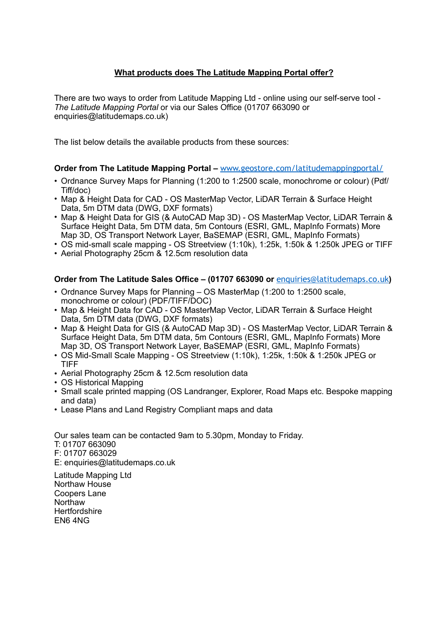# **What products does The Latitude Mapping Portal offer?**

There are two ways to order from Latitude Mapping Ltd - online using our self-serve tool - *The Latitude Mapping Portal* or via our Sales Office (01707 663090 or enquiries@latitudemaps.co.uk)

The list below details the available products from these sources:

## **Order from The Latitude Mapping Portal – [www.geostore.com/latitudemappingportal/](http://www.geostore.com/latitudemappingportal/)**

- Ordnance Survey Maps for Planning (1:200 to 1:2500 scale, monochrome or colour) (Pdf/ Tiff/doc)
- Map & Height Data for CAD OS MasterMap Vector, LiDAR Terrain & Surface Height Data, 5m DTM data (DWG, DXF formats)
- Map & Height Data for GIS (& AutoCAD Map 3D) OS MasterMap Vector, LiDAR Terrain & Surface Height Data, 5m DTM data, 5m Contours (ESRI, GML, MapInfo Formats) More Map 3D, OS Transport Network Layer, BaSEMAP (ESRI, GML, MapInfo Formats)
- OS mid-small scale mapping OS Streetview (1:10k), 1:25k, 1:50k & 1:250k JPEG or TIFF
- Aerial Photography 25cm & 12.5cm resolution data

## **Order from The Latitude Sales Office – (01707 663090 or** [enquiries@latitudemaps.co.uk](mailto:enquiries@latitudemaps.co.uk)**)**

- Ordnance Survey Maps for Planning OS MasterMap (1:200 to 1:2500 scale, monochrome or colour) (PDF/TIFF/DOC)
- Map & Height Data for CAD OS Master Map Vector, LiDAR Terrain & Surface Height Data, 5m DTM data (DWG, DXF formats)
- Map & Height Data for GIS (& AutoCAD Map 3D) OS MasterMap Vector, LiDAR Terrain & Surface Height Data, 5m DTM data, 5m Contours (ESRI, GML, MapInfo Formats) More Map 3D, OS Transport Network Layer, BaSEMAP (ESRI, GML, MapInfo Formats)
- OS Mid-Small Scale Mapping OS Streetview (1:10k), 1:25k, 1:50k & 1:250k JPEG or TIFF
- Aerial Photography 25cm & 12.5cm resolution data
- OS Historical Mapping
- Small scale printed mapping (OS Landranger, Explorer, Road Maps etc. Bespoke mapping and data)
- Lease Plans and Land Registry Compliant maps and data

Our sales team can be contacted 9am to 5.30pm, Monday to Friday. T: 01707 663090 F: 01707 663029 E: enquiries@latitudemaps.co.uk Latitude Mapping Ltd

Northaw House Coopers Lane **Northaw Hertfordshire** EN6 4NG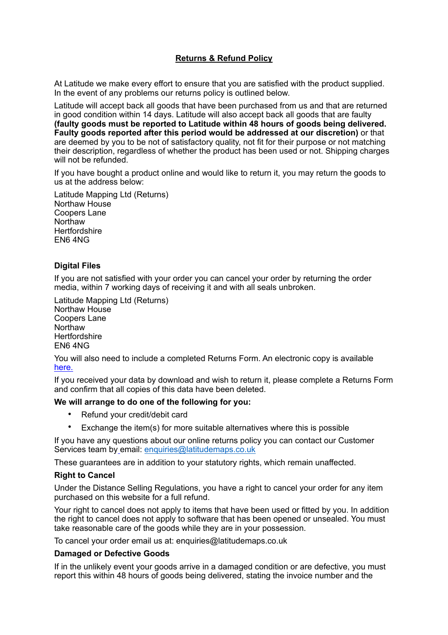# **Returns & Refund Policy**

At Latitude we make every effort to ensure that you are satisfied with the product supplied. In the event of any problems our returns policy is outlined below.

Latitude will accept back all goods that have been purchased from us and that are returned in good condition within 14 days. Latitude will also accept back all goods that are faulty **(faulty goods must be reported to Latitude within 48 hours of goods being delivered. Faulty goods reported after this period would be addressed at our discretion)** or that are deemed by you to be not of satisfactory quality, not fit for their purpose or not matching their description, regardless of whether the product has been used or not. Shipping charges will not be refunded.

If you have bought a product online and would like to return it, you may return the goods to us at the address below:

Latitude Mapping Ltd (Returns) Northaw House Coopers Lane **Northaw Hertfordshire** EN6 4NG

## **Digital Files**

If you are not satisfied with your order you can cancel your order by returning the order media, within 7 working days of receiving it and with all seals unbroken.

Latitude Mapping Ltd (Returns) Northaw House Coopers Lane **Northaw Hertfordshire** EN6 4NG

You will also need to include a completed Returns Form. An electronic copy is available [here.](http://www.geostore.com/latitudemappingportal/latitudemappingportal/documents/LatitudeReturnsForm.pdf)

If you received your data by download and wish to return it, please complete a Returns Form and confirm that all copies of this data have been deleted.

## **We will arrange to do one of the following for you:**

- Refund your credit/debit card
- Exchange the item(s) for more suitable alternatives where this is possible

If you have any questions about our online returns policy you can contact our Customer Services team by email: [enquiries@latitudemaps.co.uk](mailto:enquiries@latitudemaps.co.uk)

These guarantees are in addition to your statutory rights, which remain unaffected.

### **Right to Cancel**

Under the Distance Selling Regulations, you have a right to cancel your order for any item purchased on this website for a full refund.

Your right to cancel does not apply to items that have been used or fitted by you. In addition the right to cancel does not apply to software that has been opened or unsealed. You must take reasonable care of the goods while they are in your possession.

To cancel your order email us at: enquiries@latitudemaps.co.uk

### **Damaged or Defective Goods**

If in the unlikely event your goods arrive in a damaged condition or are defective, you must report this within 48 hours of goods being delivered, stating the invoice number and the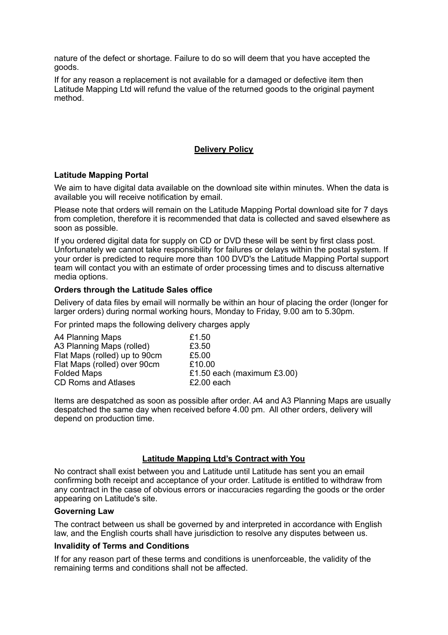nature of the defect or shortage. Failure to do so will deem that you have accepted the goods.

If for any reason a replacement is not available for a damaged or defective item then Latitude Mapping Ltd will refund the value of the returned goods to the original payment method.

# **Delivery Policy**

## **Latitude Mapping Portal**

We aim to have digital data available on the download site within minutes. When the data is available you will receive notification by email.

Please note that orders will remain on the Latitude Mapping Portal download site for 7 days from completion, therefore it is recommended that data is collected and saved elsewhere as soon as possible.

If you ordered digital data for supply on CD or DVD these will be sent by first class post. Unfortunately we cannot take responsibility for failures or delays within the postal system. If your order is predicted to require more than 100 DVD's the Latitude Mapping Portal support team will contact you with an estimate of order processing times and to discuss alternative media options.

## **Orders through the Latitude Sales office**

Delivery of data files by email will normally be within an hour of placing the order (longer for larger orders) during normal working hours, Monday to Friday, 9.00 am to 5.30pm.

For printed maps the following delivery charges apply

| A4 Planning Maps              | £1.50                         |
|-------------------------------|-------------------------------|
| A3 Planning Maps (rolled)     | £3.50                         |
| Flat Maps (rolled) up to 90cm | £5.00                         |
| Flat Maps (rolled) over 90cm  | £10.00                        |
| <b>Folded Maps</b>            | £1.50 each (maximum $£3.00$ ) |
| <b>CD Roms and Atlases</b>    | $£2.00$ each                  |
|                               |                               |

Items are despatched as soon as possible after order. A4 and A3 Planning Maps are usually despatched the same day when received before 4.00 pm. All other orders, delivery will depend on production time.

### **Latitude Mapping Ltd's Contract with You**

No contract shall exist between you and Latitude until Latitude has sent you an email confirming both receipt and acceptance of your order. Latitude is entitled to withdraw from any contract in the case of obvious errors or inaccuracies regarding the goods or the order appearing on Latitude's site.

### **Governing Law**

The contract between us shall be governed by and interpreted in accordance with English law, and the English courts shall have jurisdiction to resolve any disputes between us.

### **Invalidity of Terms and Conditions**

If for any reason part of these terms and conditions is unenforceable, the validity of the remaining terms and conditions shall not be affected.